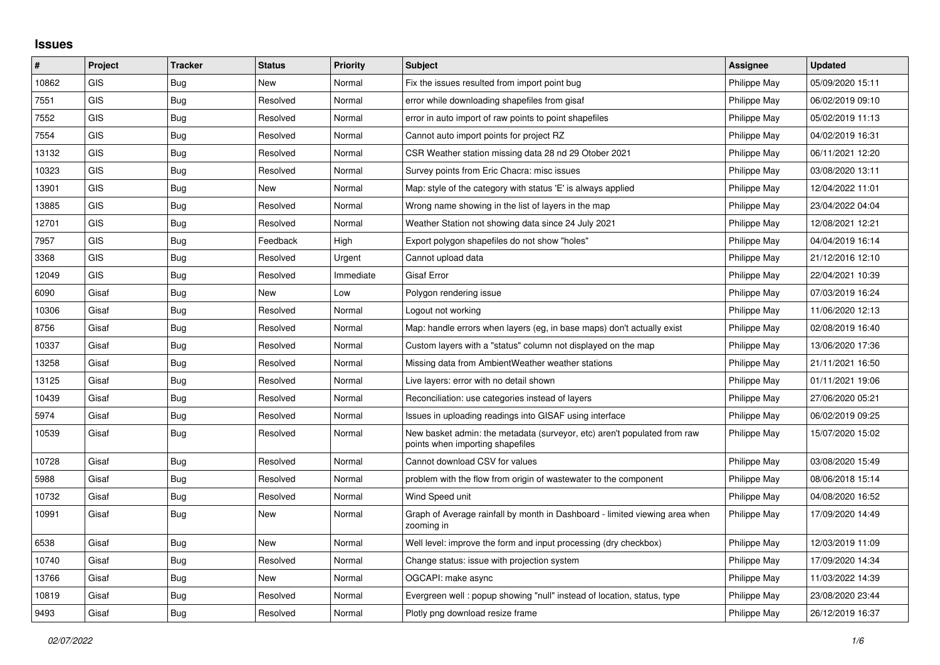## **Issues**

| #     | Project    | <b>Tracker</b> | <b>Status</b> | <b>Priority</b> | <b>Subject</b>                                                                                               | Assignee     | <b>Updated</b>   |
|-------|------------|----------------|---------------|-----------------|--------------------------------------------------------------------------------------------------------------|--------------|------------------|
| 10862 | <b>GIS</b> | <b>Bug</b>     | <b>New</b>    | Normal          | Fix the issues resulted from import point bug                                                                | Philippe May | 05/09/2020 15:11 |
| 7551  | <b>GIS</b> | Bug            | Resolved      | Normal          | error while downloading shapefiles from gisaf                                                                | Philippe May | 06/02/2019 09:10 |
| 7552  | GIS        | Bug            | Resolved      | Normal          | error in auto import of raw points to point shapefiles                                                       | Philippe May | 05/02/2019 11:13 |
| 7554  | <b>GIS</b> | Bug            | Resolved      | Normal          | Cannot auto import points for project RZ                                                                     | Philippe May | 04/02/2019 16:31 |
| 13132 | GIS        | Bug            | Resolved      | Normal          | CSR Weather station missing data 28 nd 29 Otober 2021                                                        | Philippe May | 06/11/2021 12:20 |
| 10323 | <b>GIS</b> | Bug            | Resolved      | Normal          | Survey points from Eric Chacra: misc issues                                                                  | Philippe May | 03/08/2020 13:11 |
| 13901 | GIS        | Bug            | <b>New</b>    | Normal          | Map: style of the category with status 'E' is always applied                                                 | Philippe May | 12/04/2022 11:01 |
| 13885 | <b>GIS</b> | <b>Bug</b>     | Resolved      | Normal          | Wrong name showing in the list of layers in the map                                                          | Philippe May | 23/04/2022 04:04 |
| 12701 | GIS        | Bug            | Resolved      | Normal          | Weather Station not showing data since 24 July 2021                                                          | Philippe May | 12/08/2021 12:21 |
| 7957  | <b>GIS</b> | Bug            | Feedback      | High            | Export polygon shapefiles do not show "holes"                                                                | Philippe May | 04/04/2019 16:14 |
| 3368  | GIS        | Bug            | Resolved      | Urgent          | Cannot upload data                                                                                           | Philippe May | 21/12/2016 12:10 |
| 12049 | GIS        | Bug            | Resolved      | Immediate       | Gisaf Error                                                                                                  | Philippe May | 22/04/2021 10:39 |
| 6090  | Gisaf      | Bug            | <b>New</b>    | Low             | Polygon rendering issue                                                                                      | Philippe May | 07/03/2019 16:24 |
| 10306 | Gisaf      | Bug            | Resolved      | Normal          | Logout not working                                                                                           | Philippe May | 11/06/2020 12:13 |
| 8756  | Gisaf      | Bug            | Resolved      | Normal          | Map: handle errors when layers (eg, in base maps) don't actually exist                                       | Philippe May | 02/08/2019 16:40 |
| 10337 | Gisaf      | <b>Bug</b>     | Resolved      | Normal          | Custom layers with a "status" column not displayed on the map                                                | Philippe May | 13/06/2020 17:36 |
| 13258 | Gisaf      | Bug            | Resolved      | Normal          | Missing data from AmbientWeather weather stations                                                            | Philippe May | 21/11/2021 16:50 |
| 13125 | Gisaf      | Bug            | Resolved      | Normal          | Live layers: error with no detail shown                                                                      | Philippe May | 01/11/2021 19:06 |
| 10439 | Gisaf      | Bug            | Resolved      | Normal          | Reconciliation: use categories instead of layers                                                             | Philippe May | 27/06/2020 05:21 |
| 5974  | Gisaf      | Bug            | Resolved      | Normal          | Issues in uploading readings into GISAF using interface                                                      | Philippe May | 06/02/2019 09:25 |
| 10539 | Gisaf      | Bug            | Resolved      | Normal          | New basket admin: the metadata (surveyor, etc) aren't populated from raw<br>points when importing shapefiles | Philippe May | 15/07/2020 15:02 |
| 10728 | Gisaf      | Bug            | Resolved      | Normal          | Cannot download CSV for values                                                                               | Philippe May | 03/08/2020 15:49 |
| 5988  | Gisaf      | Bug            | Resolved      | Normal          | problem with the flow from origin of wastewater to the component                                             | Philippe May | 08/06/2018 15:14 |
| 10732 | Gisaf      | Bug            | Resolved      | Normal          | Wind Speed unit                                                                                              | Philippe May | 04/08/2020 16:52 |
| 10991 | Gisaf      | Bug            | <b>New</b>    | Normal          | Graph of Average rainfall by month in Dashboard - limited viewing area when<br>zooming in                    | Philippe May | 17/09/2020 14:49 |
| 6538  | Gisaf      | Bug            | <b>New</b>    | Normal          | Well level: improve the form and input processing (dry checkbox)                                             | Philippe May | 12/03/2019 11:09 |
| 10740 | Gisaf      | <b>Bug</b>     | Resolved      | Normal          | Change status: issue with projection system                                                                  | Philippe May | 17/09/2020 14:34 |
| 13766 | Gisaf      | Bug            | New           | Normal          | OGCAPI: make async                                                                                           | Philippe May | 11/03/2022 14:39 |
| 10819 | Gisaf      | <b>Bug</b>     | Resolved      | Normal          | Evergreen well: popup showing "null" instead of location, status, type                                       | Philippe May | 23/08/2020 23:44 |
| 9493  | Gisaf      | <b>Bug</b>     | Resolved      | Normal          | Plotly png download resize frame                                                                             | Philippe May | 26/12/2019 16:37 |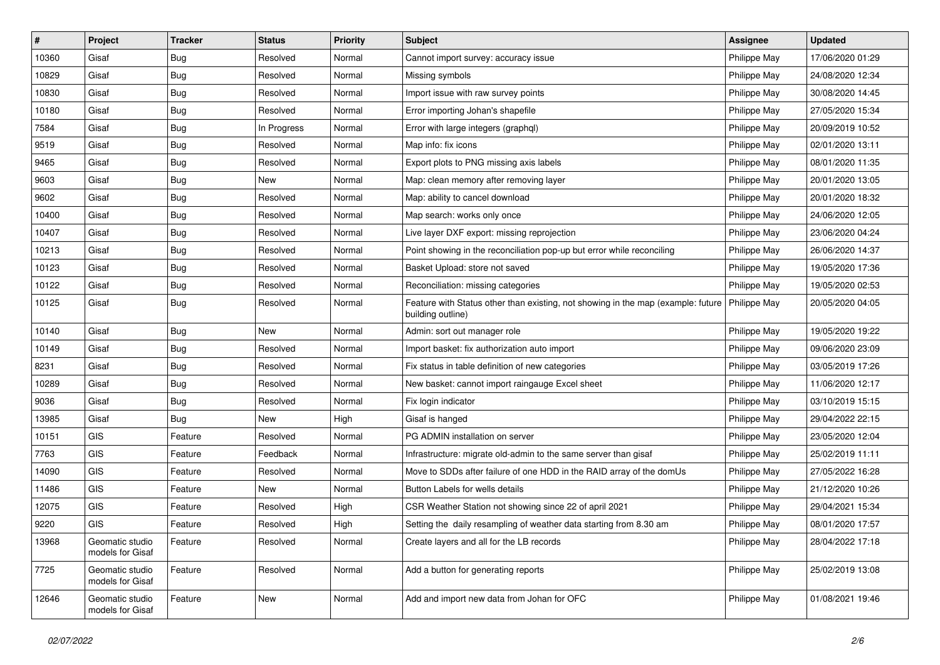| #     | Project                             | <b>Tracker</b> | <b>Status</b> | <b>Priority</b> | <b>Subject</b>                                                                                                       | Assignee     | <b>Updated</b>   |
|-------|-------------------------------------|----------------|---------------|-----------------|----------------------------------------------------------------------------------------------------------------------|--------------|------------------|
| 10360 | Gisaf                               | <b>Bug</b>     | Resolved      | Normal          | Cannot import survey: accuracy issue                                                                                 | Philippe May | 17/06/2020 01:29 |
| 10829 | Gisaf                               | Bug            | Resolved      | Normal          | Missing symbols                                                                                                      | Philippe May | 24/08/2020 12:34 |
| 10830 | Gisaf                               | Bug            | Resolved      | Normal          | Import issue with raw survey points                                                                                  | Philippe May | 30/08/2020 14:45 |
| 10180 | Gisaf                               | <b>Bug</b>     | Resolved      | Normal          | Error importing Johan's shapefile                                                                                    | Philippe May | 27/05/2020 15:34 |
| 7584  | Gisaf                               | Bug            | In Progress   | Normal          | Error with large integers (graphql)                                                                                  | Philippe May | 20/09/2019 10:52 |
| 9519  | Gisaf                               | <b>Bug</b>     | Resolved      | Normal          | Map info: fix icons                                                                                                  | Philippe May | 02/01/2020 13:11 |
| 9465  | Gisaf                               | <b>Bug</b>     | Resolved      | Normal          | Export plots to PNG missing axis labels                                                                              | Philippe May | 08/01/2020 11:35 |
| 9603  | Gisaf                               | <b>Bug</b>     | New           | Normal          | Map: clean memory after removing layer                                                                               | Philippe May | 20/01/2020 13:05 |
| 9602  | Gisaf                               | <b>Bug</b>     | Resolved      | Normal          | Map: ability to cancel download                                                                                      | Philippe May | 20/01/2020 18:32 |
| 10400 | Gisaf                               | Bug            | Resolved      | Normal          | Map search: works only once                                                                                          | Philippe May | 24/06/2020 12:05 |
| 10407 | Gisaf                               | Bug            | Resolved      | Normal          | Live layer DXF export: missing reprojection                                                                          | Philippe May | 23/06/2020 04:24 |
| 10213 | Gisaf                               | <b>Bug</b>     | Resolved      | Normal          | Point showing in the reconciliation pop-up but error while reconciling                                               | Philippe May | 26/06/2020 14:37 |
| 10123 | Gisaf                               | Bug            | Resolved      | Normal          | Basket Upload: store not saved                                                                                       | Philippe May | 19/05/2020 17:36 |
| 10122 | Gisaf                               | Bug            | Resolved      | Normal          | Reconciliation: missing categories                                                                                   | Philippe May | 19/05/2020 02:53 |
| 10125 | Gisaf                               | Bug            | Resolved      | Normal          | Feature with Status other than existing, not showing in the map (example: future   Philippe May<br>building outline) |              | 20/05/2020 04:05 |
| 10140 | Gisaf                               | Bug            | <b>New</b>    | Normal          | Admin: sort out manager role                                                                                         | Philippe May | 19/05/2020 19:22 |
| 10149 | Gisaf                               | Bug            | Resolved      | Normal          | Import basket: fix authorization auto import                                                                         | Philippe May | 09/06/2020 23:09 |
| 8231  | Gisaf                               | Bug            | Resolved      | Normal          | Fix status in table definition of new categories                                                                     | Philippe May | 03/05/2019 17:26 |
| 10289 | Gisaf                               | <b>Bug</b>     | Resolved      | Normal          | New basket: cannot import raingauge Excel sheet                                                                      | Philippe May | 11/06/2020 12:17 |
| 9036  | Gisaf                               | Bug            | Resolved      | Normal          | Fix login indicator                                                                                                  | Philippe May | 03/10/2019 15:15 |
| 13985 | Gisaf                               | <b>Bug</b>     | New           | High            | Gisaf is hanged                                                                                                      | Philippe May | 29/04/2022 22:15 |
| 10151 | <b>GIS</b>                          | Feature        | Resolved      | Normal          | PG ADMIN installation on server                                                                                      | Philippe May | 23/05/2020 12:04 |
| 7763  | GIS                                 | Feature        | Feedback      | Normal          | Infrastructure: migrate old-admin to the same server than gisaf                                                      | Philippe May | 25/02/2019 11:11 |
| 14090 | GIS                                 | Feature        | Resolved      | Normal          | Move to SDDs after failure of one HDD in the RAID array of the domUs                                                 | Philippe May | 27/05/2022 16:28 |
| 11486 | GIS                                 | Feature        | <b>New</b>    | Normal          | Button Labels for wells details                                                                                      | Philippe May | 21/12/2020 10:26 |
| 12075 | GIS                                 | Feature        | Resolved      | High            | CSR Weather Station not showing since 22 of april 2021                                                               | Philippe May | 29/04/2021 15:34 |
| 9220  | GIS                                 | Feature        | Resolved      | High            | Setting the daily resampling of weather data starting from 8.30 am                                                   | Philippe May | 08/01/2020 17:57 |
| 13968 | Geomatic studio<br>models for Gisaf | Feature        | Resolved      | Normal          | Create layers and all for the LB records                                                                             | Philippe May | 28/04/2022 17:18 |
| 7725  | Geomatic studio<br>models for Gisaf | Feature        | Resolved      | Normal          | Add a button for generating reports                                                                                  | Philippe May | 25/02/2019 13:08 |
| 12646 | Geomatic studio<br>models for Gisaf | Feature        | New           | Normal          | Add and import new data from Johan for OFC                                                                           | Philippe May | 01/08/2021 19:46 |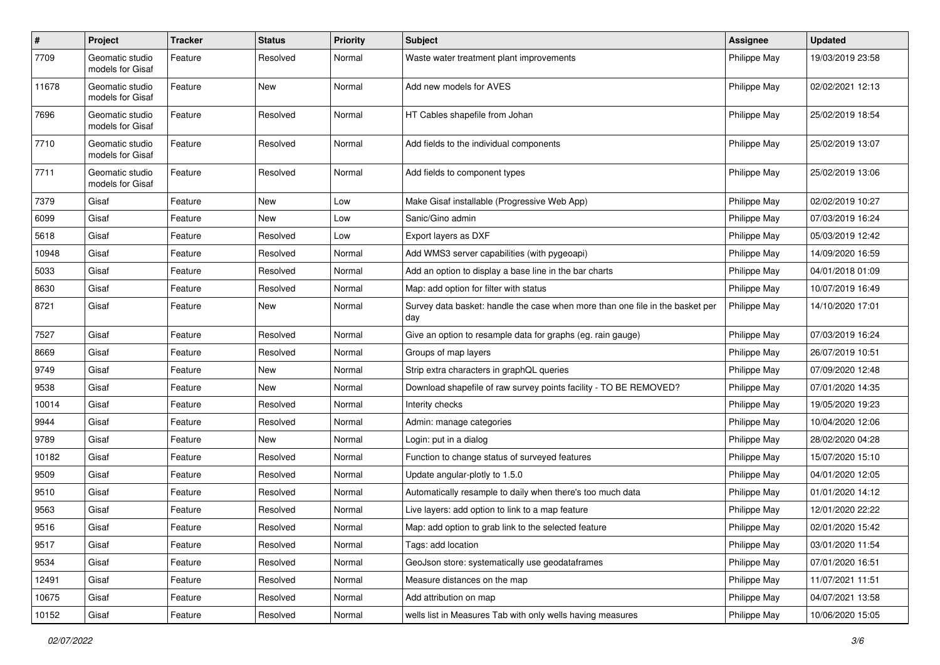| $\pmb{\#}$ | Project                             | <b>Tracker</b> | <b>Status</b> | <b>Priority</b> | <b>Subject</b>                                                                       | <b>Assignee</b> | <b>Updated</b>   |
|------------|-------------------------------------|----------------|---------------|-----------------|--------------------------------------------------------------------------------------|-----------------|------------------|
| 7709       | Geomatic studio<br>models for Gisaf | Feature        | Resolved      | Normal          | Waste water treatment plant improvements                                             | Philippe May    | 19/03/2019 23:58 |
| 11678      | Geomatic studio<br>models for Gisaf | Feature        | New           | Normal          | Add new models for AVES                                                              | Philippe May    | 02/02/2021 12:13 |
| 7696       | Geomatic studio<br>models for Gisaf | Feature        | Resolved      | Normal          | HT Cables shapefile from Johan                                                       | Philippe May    | 25/02/2019 18:54 |
| 7710       | Geomatic studio<br>models for Gisaf | Feature        | Resolved      | Normal          | Add fields to the individual components                                              | Philippe May    | 25/02/2019 13:07 |
| 7711       | Geomatic studio<br>models for Gisaf | Feature        | Resolved      | Normal          | Add fields to component types                                                        | Philippe May    | 25/02/2019 13:06 |
| 7379       | Gisaf                               | Feature        | New           | Low             | Make Gisaf installable (Progressive Web App)                                         | Philippe May    | 02/02/2019 10:27 |
| 6099       | Gisaf                               | Feature        | New           | Low             | Sanic/Gino admin                                                                     | Philippe May    | 07/03/2019 16:24 |
| 5618       | Gisaf                               | Feature        | Resolved      | Low             | Export layers as DXF                                                                 | Philippe May    | 05/03/2019 12:42 |
| 10948      | Gisaf                               | Feature        | Resolved      | Normal          | Add WMS3 server capabilities (with pygeoapi)                                         | Philippe May    | 14/09/2020 16:59 |
| 5033       | Gisaf                               | Feature        | Resolved      | Normal          | Add an option to display a base line in the bar charts                               | Philippe May    | 04/01/2018 01:09 |
| 8630       | Gisaf                               | Feature        | Resolved      | Normal          | Map: add option for filter with status                                               | Philippe May    | 10/07/2019 16:49 |
| 8721       | Gisaf                               | Feature        | New           | Normal          | Survey data basket: handle the case when more than one file in the basket per<br>day | Philippe May    | 14/10/2020 17:01 |
| 7527       | Gisaf                               | Feature        | Resolved      | Normal          | Give an option to resample data for graphs (eg. rain gauge)                          | Philippe May    | 07/03/2019 16:24 |
| 8669       | Gisaf                               | Feature        | Resolved      | Normal          | Groups of map layers                                                                 | Philippe May    | 26/07/2019 10:51 |
| 9749       | Gisaf                               | Feature        | New           | Normal          | Strip extra characters in graphQL queries                                            | Philippe May    | 07/09/2020 12:48 |
| 9538       | Gisaf                               | Feature        | New           | Normal          | Download shapefile of raw survey points facility - TO BE REMOVED?                    | Philippe May    | 07/01/2020 14:35 |
| 10014      | Gisaf                               | Feature        | Resolved      | Normal          | Interity checks                                                                      | Philippe May    | 19/05/2020 19:23 |
| 9944       | Gisaf                               | Feature        | Resolved      | Normal          | Admin: manage categories                                                             | Philippe May    | 10/04/2020 12:06 |
| 9789       | Gisaf                               | Feature        | New           | Normal          | Login: put in a dialog                                                               | Philippe May    | 28/02/2020 04:28 |
| 10182      | Gisaf                               | Feature        | Resolved      | Normal          | Function to change status of surveyed features                                       | Philippe May    | 15/07/2020 15:10 |
| 9509       | Gisaf                               | Feature        | Resolved      | Normal          | Update angular-plotly to 1.5.0                                                       | Philippe May    | 04/01/2020 12:05 |
| 9510       | Gisaf                               | Feature        | Resolved      | Normal          | Automatically resample to daily when there's too much data                           | Philippe May    | 01/01/2020 14:12 |
| 9563       | Gisaf                               | Feature        | Resolved      | Normal          | Live layers: add option to link to a map feature                                     | Philippe May    | 12/01/2020 22:22 |
| 9516       | Gisaf                               | Feature        | Resolved      | Normal          | Map: add option to grab link to the selected feature                                 | Philippe May    | 02/01/2020 15:42 |
| 9517       | Gisaf                               | Feature        | Resolved      | Normal          | Tags: add location                                                                   | Philippe May    | 03/01/2020 11:54 |
| 9534       | Gisaf                               | Feature        | Resolved      | Normal          | GeoJson store: systematically use geodataframes                                      | Philippe May    | 07/01/2020 16:51 |
| 12491      | Gisaf                               | Feature        | Resolved      | Normal          | Measure distances on the map                                                         | Philippe May    | 11/07/2021 11:51 |
| 10675      | Gisaf                               | Feature        | Resolved      | Normal          | Add attribution on map                                                               | Philippe May    | 04/07/2021 13:58 |
| 10152      | Gisaf                               | Feature        | Resolved      | Normal          | wells list in Measures Tab with only wells having measures                           | Philippe May    | 10/06/2020 15:05 |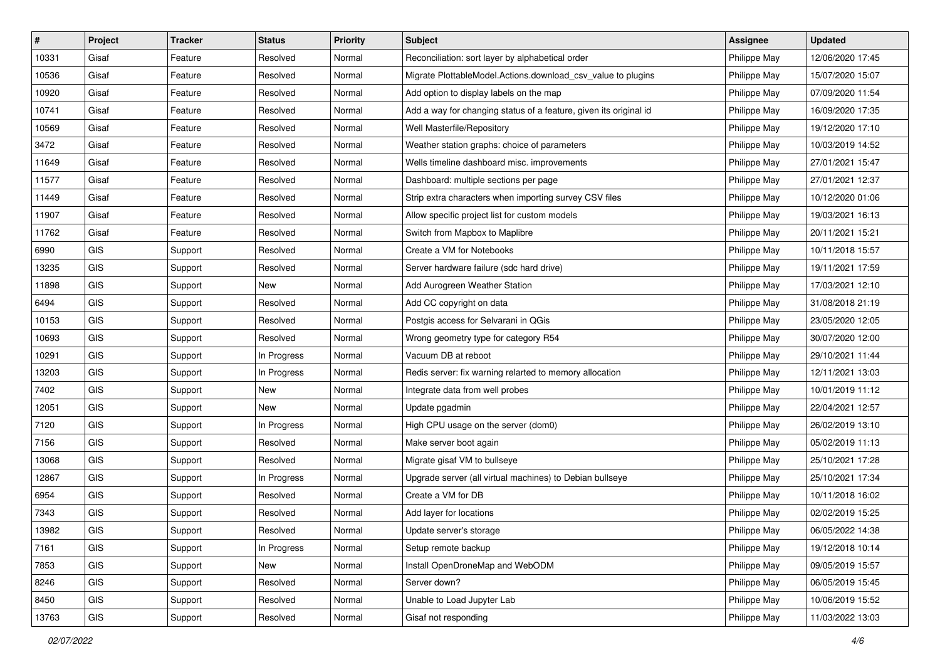| #     | Project    | <b>Tracker</b> | <b>Status</b> | <b>Priority</b> | <b>Subject</b>                                                    | <b>Assignee</b> | <b>Updated</b>   |
|-------|------------|----------------|---------------|-----------------|-------------------------------------------------------------------|-----------------|------------------|
| 10331 | Gisaf      | Feature        | Resolved      | Normal          | Reconciliation: sort layer by alphabetical order                  | Philippe May    | 12/06/2020 17:45 |
| 10536 | Gisaf      | Feature        | Resolved      | Normal          | Migrate PlottableModel.Actions.download_csv_value to plugins      | Philippe May    | 15/07/2020 15:07 |
| 10920 | Gisaf      | Feature        | Resolved      | Normal          | Add option to display labels on the map                           | Philippe May    | 07/09/2020 11:54 |
| 10741 | Gisaf      | Feature        | Resolved      | Normal          | Add a way for changing status of a feature, given its original id | Philippe May    | 16/09/2020 17:35 |
| 10569 | Gisaf      | Feature        | Resolved      | Normal          | Well Masterfile/Repository                                        | Philippe May    | 19/12/2020 17:10 |
| 3472  | Gisaf      | Feature        | Resolved      | Normal          | Weather station graphs: choice of parameters                      | Philippe May    | 10/03/2019 14:52 |
| 11649 | Gisaf      | Feature        | Resolved      | Normal          | Wells timeline dashboard misc. improvements                       | Philippe May    | 27/01/2021 15:47 |
| 11577 | Gisaf      | Feature        | Resolved      | Normal          | Dashboard: multiple sections per page                             | Philippe May    | 27/01/2021 12:37 |
| 11449 | Gisaf      | Feature        | Resolved      | Normal          | Strip extra characters when importing survey CSV files            | Philippe May    | 10/12/2020 01:06 |
| 11907 | Gisaf      | Feature        | Resolved      | Normal          | Allow specific project list for custom models                     | Philippe May    | 19/03/2021 16:13 |
| 11762 | Gisaf      | Feature        | Resolved      | Normal          | Switch from Mapbox to Maplibre                                    | Philippe May    | 20/11/2021 15:21 |
| 6990  | GIS        | Support        | Resolved      | Normal          | Create a VM for Notebooks                                         | Philippe May    | 10/11/2018 15:57 |
| 13235 | GIS        | Support        | Resolved      | Normal          | Server hardware failure (sdc hard drive)                          | Philippe May    | 19/11/2021 17:59 |
| 11898 | GIS        | Support        | New           | Normal          | Add Aurogreen Weather Station                                     | Philippe May    | 17/03/2021 12:10 |
| 6494  | GIS        | Support        | Resolved      | Normal          | Add CC copyright on data                                          | Philippe May    | 31/08/2018 21:19 |
| 10153 | <b>GIS</b> | Support        | Resolved      | Normal          | Postgis access for Selvarani in QGis                              | Philippe May    | 23/05/2020 12:05 |
| 10693 | GIS        | Support        | Resolved      | Normal          | Wrong geometry type for category R54                              | Philippe May    | 30/07/2020 12:00 |
| 10291 | GIS        | Support        | In Progress   | Normal          | Vacuum DB at reboot                                               | Philippe May    | 29/10/2021 11:44 |
| 13203 | GIS        | Support        | In Progress   | Normal          | Redis server: fix warning relarted to memory allocation           | Philippe May    | 12/11/2021 13:03 |
| 7402  | <b>GIS</b> | Support        | New           | Normal          | Integrate data from well probes                                   | Philippe May    | 10/01/2019 11:12 |
| 12051 | GIS        | Support        | New           | Normal          | Update pgadmin                                                    | Philippe May    | 22/04/2021 12:57 |
| 7120  | GIS        | Support        | In Progress   | Normal          | High CPU usage on the server (dom0)                               | Philippe May    | 26/02/2019 13:10 |
| 7156  | GIS        | Support        | Resolved      | Normal          | Make server boot again                                            | Philippe May    | 05/02/2019 11:13 |
| 13068 | GIS        | Support        | Resolved      | Normal          | Migrate gisaf VM to bullseye                                      | Philippe May    | 25/10/2021 17:28 |
| 12867 | <b>GIS</b> | Support        | In Progress   | Normal          | Upgrade server (all virtual machines) to Debian bullseye          | Philippe May    | 25/10/2021 17:34 |
| 6954  | GIS        | Support        | Resolved      | Normal          | Create a VM for DB                                                | Philippe May    | 10/11/2018 16:02 |
| 7343  | GIS        | Support        | Resolved      | Normal          | Add layer for locations                                           | Philippe May    | 02/02/2019 15:25 |
| 13982 | GIS        | Support        | Resolved      | Normal          | Update server's storage                                           | Philippe May    | 06/05/2022 14:38 |
| 7161  | <b>GIS</b> | Support        | In Progress   | Normal          | Setup remote backup                                               | Philippe May    | 19/12/2018 10:14 |
| 7853  | GIS        | Support        | New           | Normal          | Install OpenDroneMap and WebODM                                   | Philippe May    | 09/05/2019 15:57 |
| 8246  | GIS        | Support        | Resolved      | Normal          | Server down?                                                      | Philippe May    | 06/05/2019 15:45 |
| 8450  | GIS        | Support        | Resolved      | Normal          | Unable to Load Jupyter Lab                                        | Philippe May    | 10/06/2019 15:52 |
| 13763 | GIS        | Support        | Resolved      | Normal          | Gisaf not responding                                              | Philippe May    | 11/03/2022 13:03 |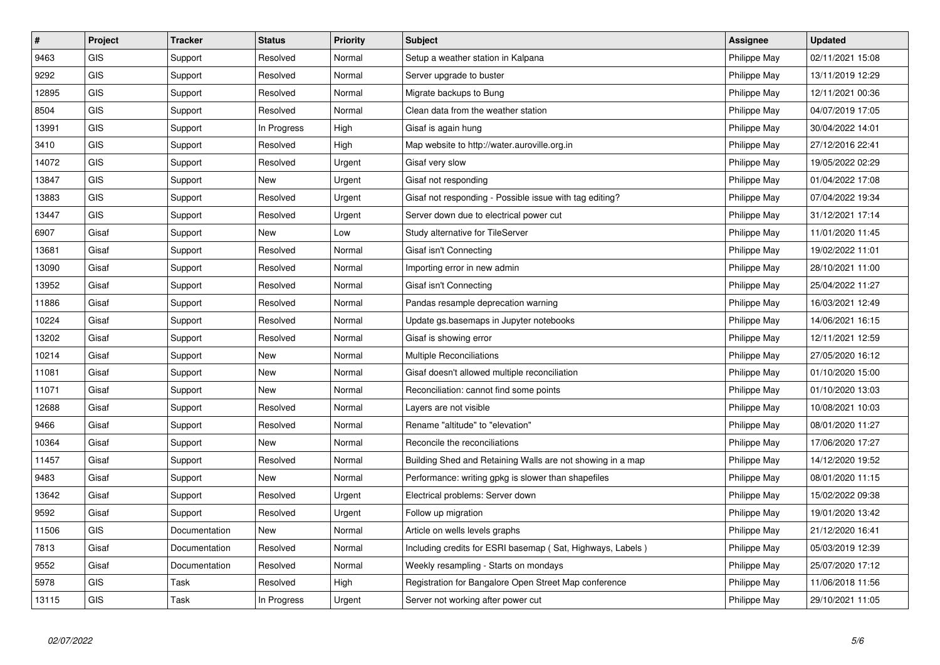| $\sharp$ | Project    | <b>Tracker</b> | <b>Status</b> | <b>Priority</b> | <b>Subject</b>                                             | <b>Assignee</b> | <b>Updated</b>   |
|----------|------------|----------------|---------------|-----------------|------------------------------------------------------------|-----------------|------------------|
| 9463     | <b>GIS</b> | Support        | Resolved      | Normal          | Setup a weather station in Kalpana                         | Philippe May    | 02/11/2021 15:08 |
| 9292     | <b>GIS</b> | Support        | Resolved      | Normal          | Server upgrade to buster                                   | Philippe May    | 13/11/2019 12:29 |
| 12895    | GIS        | Support        | Resolved      | Normal          | Migrate backups to Bung                                    | Philippe May    | 12/11/2021 00:36 |
| 8504     | <b>GIS</b> | Support        | Resolved      | Normal          | Clean data from the weather station                        | Philippe May    | 04/07/2019 17:05 |
| 13991    | <b>GIS</b> | Support        | In Progress   | High            | Gisaf is again hung                                        | Philippe May    | 30/04/2022 14:01 |
| 3410     | GIS        | Support        | Resolved      | High            | Map website to http://water.auroville.org.in               | Philippe May    | 27/12/2016 22:41 |
| 14072    | <b>GIS</b> | Support        | Resolved      | Urgent          | Gisaf very slow                                            | Philippe May    | 19/05/2022 02:29 |
| 13847    | <b>GIS</b> | Support        | New           | Urgent          | Gisaf not responding                                       | Philippe May    | 01/04/2022 17:08 |
| 13883    | <b>GIS</b> | Support        | Resolved      | Urgent          | Gisaf not responding - Possible issue with tag editing?    | Philippe May    | 07/04/2022 19:34 |
| 13447    | <b>GIS</b> | Support        | Resolved      | Urgent          | Server down due to electrical power cut                    | Philippe May    | 31/12/2021 17:14 |
| 6907     | Gisaf      | Support        | New           | Low             | Study alternative for TileServer                           | Philippe May    | 11/01/2020 11:45 |
| 13681    | Gisaf      | Support        | Resolved      | Normal          | Gisaf isn't Connecting                                     | Philippe May    | 19/02/2022 11:01 |
| 13090    | Gisaf      | Support        | Resolved      | Normal          | Importing error in new admin                               | Philippe May    | 28/10/2021 11:00 |
| 13952    | Gisaf      | Support        | Resolved      | Normal          | Gisaf isn't Connecting                                     | Philippe May    | 25/04/2022 11:27 |
| 11886    | Gisaf      | Support        | Resolved      | Normal          | Pandas resample deprecation warning                        | Philippe May    | 16/03/2021 12:49 |
| 10224    | Gisaf      | Support        | Resolved      | Normal          | Update gs.basemaps in Jupyter notebooks                    | Philippe May    | 14/06/2021 16:15 |
| 13202    | Gisaf      | Support        | Resolved      | Normal          | Gisaf is showing error                                     | Philippe May    | 12/11/2021 12:59 |
| 10214    | Gisaf      | Support        | <b>New</b>    | Normal          | <b>Multiple Reconciliations</b>                            | Philippe May    | 27/05/2020 16:12 |
| 11081    | Gisaf      | Support        | <b>New</b>    | Normal          | Gisaf doesn't allowed multiple reconciliation              | Philippe May    | 01/10/2020 15:00 |
| 11071    | Gisaf      | Support        | <b>New</b>    | Normal          | Reconciliation: cannot find some points                    | Philippe May    | 01/10/2020 13:03 |
| 12688    | Gisaf      | Support        | Resolved      | Normal          | Layers are not visible                                     | Philippe May    | 10/08/2021 10:03 |
| 9466     | Gisaf      | Support        | Resolved      | Normal          | Rename "altitude" to "elevation"                           | Philippe May    | 08/01/2020 11:27 |
| 10364    | Gisaf      | Support        | <b>New</b>    | Normal          | Reconcile the reconciliations                              | Philippe May    | 17/06/2020 17:27 |
| 11457    | Gisaf      | Support        | Resolved      | Normal          | Building Shed and Retaining Walls are not showing in a map | Philippe May    | 14/12/2020 19:52 |
| 9483     | Gisaf      | Support        | <b>New</b>    | Normal          | Performance: writing gpkg is slower than shapefiles        | Philippe May    | 08/01/2020 11:15 |
| 13642    | Gisaf      | Support        | Resolved      | Urgent          | Electrical problems: Server down                           | Philippe May    | 15/02/2022 09:38 |
| 9592     | Gisaf      | Support        | Resolved      | Urgent          | Follow up migration                                        | Philippe May    | 19/01/2020 13:42 |
| 11506    | <b>GIS</b> | Documentation  | <b>New</b>    | Normal          | Article on wells levels graphs                             | Philippe May    | 21/12/2020 16:41 |
| 7813     | Gisaf      | Documentation  | Resolved      | Normal          | Including credits for ESRI basemap (Sat, Highways, Labels) | Philippe May    | 05/03/2019 12:39 |
| 9552     | Gisaf      | Documentation  | Resolved      | Normal          | Weekly resampling - Starts on mondays                      | Philippe May    | 25/07/2020 17:12 |
| 5978     | <b>GIS</b> | Task           | Resolved      | High            | Registration for Bangalore Open Street Map conference      | Philippe May    | 11/06/2018 11:56 |
| 13115    | <b>GIS</b> | Task           | In Progress   | Urgent          | Server not working after power cut                         | Philippe May    | 29/10/2021 11:05 |